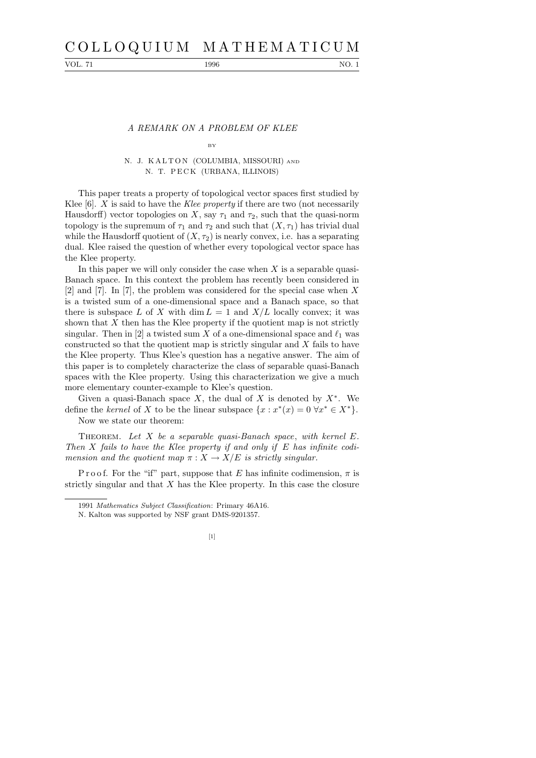# C O L L O Q U I U M M A T H E M A T I C U M

VOL. 71 1996 1996 NO. 1

### A REMARK ON A PROBLEM OF KLEE BY

## N. J. KALTON (COLUMBIA, MISSOURI) AND N. T. PECK (URBANA, ILLINOIS)

This paper treats a property of topological vector spaces first studied by Klee  $[6]$ . X is said to have the Klee property if there are two (not necessarily Hausdorff) vector topologies on X, say  $\tau_1$  and  $\tau_2$ , such that the quasi-norm topology is the supremum of  $\tau_1$  and  $\tau_2$  and such that  $(X, \tau_1)$  has trivial dual while the Hausdorff quotient of  $(X, \tau_2)$  is nearly convex, i.e. has a separating dual. Klee raised the question of whether every topological vector space has the Klee property.

In this paper we will only consider the case when  $X$  is a separable quasi-Banach space. In this context the problem has recently been considered in [2] and [7]. In [7], the problem was considered for the special case when X is a twisted sum of a one-dimensional space and a Banach space, so that there is subspace L of X with dim  $L = 1$  and  $X/L$  locally convex; it was shown that  $X$  then has the Klee property if the quotient map is not strictly singular. Then in [2] a twisted sum X of a one-dimensional space and  $\ell_1$  was constructed so that the quotient map is strictly singular and X fails to have the Klee property. Thus Klee's question has a negative answer. The aim of this paper is to completely characterize the class of separable quasi-Banach spaces with the Klee property. Using this characterization we give a much more elementary counter-example to Klee's question.

Given a quasi-Banach space  $X$ , the dual of  $X$  is denoted by  $X^*$ . We define the kernel of X to be the linear subspace  $\{x : x^*(x) = 0 \,\forall x^* \in X^*\}.$ Now we state our theorem:

THEOREM. Let X be a separable quasi-Banach space, with kernel  $E$ . Then  $X$  fails to have the Klee property if and only if  $E$  has infinite codimension and the quotient map  $\pi : X \to X/E$  is strictly singular.

P r o o f. For the "if" part, suppose that E has infinite codimension,  $\pi$  is strictly singular and that  $X$  has the Klee property. In this case the closure

N. Kalton was supported by NSF grant DMS-9201357.



<sup>1991</sup> *Mathematics Subject Classification*: Primary 46A16.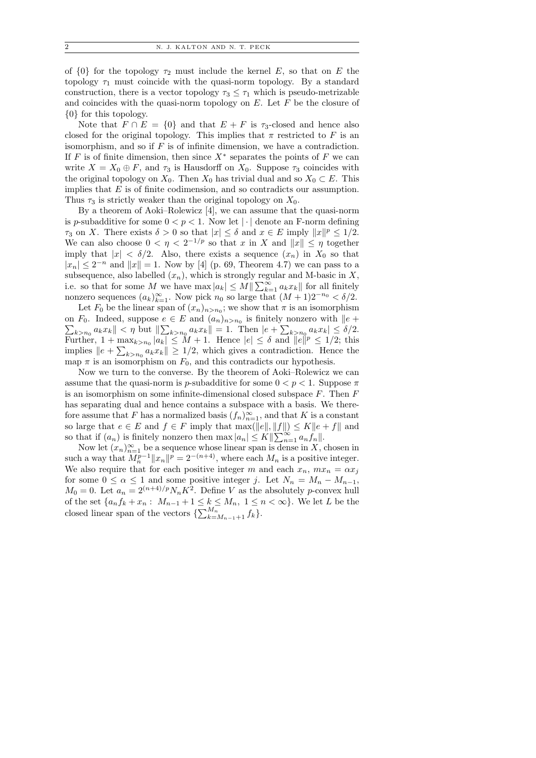of  $\{0\}$  for the topology  $\tau_2$  must include the kernel E, so that on E the topology  $\tau_1$  must coincide with the quasi-norm topology. By a standard construction, there is a vector topology  $\tau_3 \leq \tau_1$  which is pseudo-metrizable and coincides with the quasi-norm topology on  $E$ . Let  $F$  be the closure of {0} for this topology.

Note that  $F \cap E = \{0\}$  and that  $E + F$  is  $\tau_3$ -closed and hence also closed for the original topology. This implies that  $\pi$  restricted to F is an isomorphism, and so if  $F$  is of infinite dimension, we have a contradiction. If F is of finite dimension, then since  $X^*$  separates the points of F we can write  $X = X_0 \oplus F$ , and  $\tau_3$  is Hausdorff on  $X_0$ . Suppose  $\tau_3$  coincides with the original topology on  $X_0$ . Then  $X_0$  has trivial dual and so  $X_0 \subset E$ . This implies that  $E$  is of finite codimension, and so contradicts our assumption. Thus  $\tau_3$  is strictly weaker than the original topology on  $X_0$ .

By a theorem of Aoki–Rolewicz [4], we can assume that the quasi-norm is p-subadditive for some  $0 < p < 1$ . Now let | | denote an F-norm defining  $\tau_3$  on X. There exists  $\delta > 0$  so that  $|x| \leq \delta$  and  $x \in E$  imply  $||x||^p \leq 1/2$ . We can also choose  $0 < \eta < 2^{-1/p}$  so that x in X and  $||x|| \leq \eta$  together imply that  $|x| < \delta/2$ . Also, there exists a sequence  $(x_n)$  in  $X_0$  so that  $|x_n| \leq 2^{-n}$  and  $||x|| = 1$ . Now by [4] (p. 69, Theorem 4.7) we can pass to a subsequence, also labelled  $(x_n)$ , which is strongly regular and M-basic in X, i.e. so that for some M we have  $\max |a_k| \leq M \|\sum_{k=1}^{\infty} a_k x_k\|$  for all finitely nonzero sequences  $(a_k)_{k=1}^{\infty}$ . Now pick  $n_0$  so large that  $(M+1)2^{-n_0} < \delta/2$ .

Let  $F_0$  be the linear span of  $(x_n)_{n>n_0}$ ; we show that  $\pi$  is an isomorphism on  $F_0$ . Indeed, suppose  $e \in E$  and  $(a_n)_{n>n_0}$  $\sum$ is finitely nonzero with  $||e +$  $\|k\|_{k>n_0} a_k x_k \| < \eta$  but  $\|\sum_{k>n_0} a_k x_k\| = 1$ . Then  $|e + \sum_{k>n_0} a_k x_k| \leq \delta/2$ . Further,  $1 + \max_{k>n_0} |a_k| \leq M + 1$ . Hence  $|e| \leq \delta$  and  $||e||^p \leq 1/2$ ; this implies  $||e + \sum_{k>n_0} a_k x_k|| \geq 1/2$ , which gives a contradiction. Hence the map  $\pi$  is an isomorphism on  $F_0$ , and this contradicts our hypothesis.

Now we turn to the converse. By the theorem of Aoki–Rolewicz we can assume that the quasi-norm is p-subadditive for some  $0 < p < 1$ . Suppose  $\pi$ is an isomorphism on some infinite-dimensional closed subspace  $F$ . Then  $F$ has separating dual and hence contains a subspace with a basis. We therefore assume that F has a normalized basis  $(f_n)_{n=1}^{\infty}$ , and that K is a constant so large that  $e \in E$  and  $f \in F$  imply that  $\max(\|e\|, \|f\|) \leq K \|e + f\|$  and so that if  $(a_n)$  is finitely nonzero then  $\max |a_n| \leq K \|\sum_{n=1}^{\infty} a_n f_n\|$ .

Now let  $(x_n)_{n=1}^{\infty}$  be a sequence whose linear span is dense in X, chosen in such a way that  $M_n^{p-1} ||x_n||^p = 2^{-(n+4)}$ , where each  $M_n$  is a positive integer. We also require that for each positive integer m and each  $x_n$ ,  $mx_n = \alpha x_j$ for some  $0 \le \alpha \le 1$  and some positive integer j. Let  $N_n = M_n - M_{n-1}$ ,  $M_0 = 0$ . Let  $a_n = 2^{(n+4)/p} N_n K^2$ . Define V as the absolutely p-convex hull of the set  $\{a_n f_k + x_n : M_{n-1} + 1 \leq k \leq M_n, 1 \leq n < \infty\}$ . We let L be the closed linear span of the vectors  $\{\sum_{k=M_{n-1}+1}^{M_n} f_k\}.$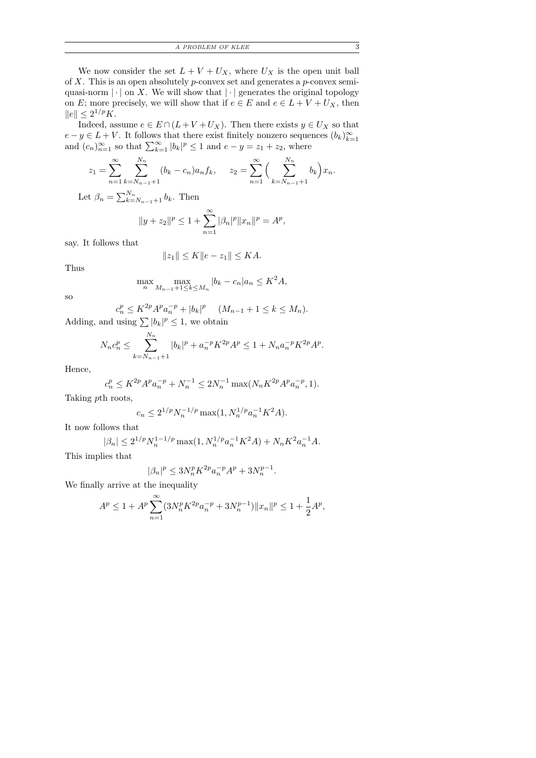| A PROBLEM OF KLEE<br>__ |  |
|-------------------------|--|
|-------------------------|--|

We now consider the set  $L + V + U_X$ , where  $U_X$  is the open unit ball of  $X$ . This is an open absolutely  $p$ -convex set and generates a  $p$ -convex semiquasi-norm  $|\cdot|$  on X. We will show that  $|\cdot|$  generates the original topology on E; more precisely, we will show that if  $e \in E$  and  $e \in L + V + U_X$ , then  $||e|| \leq 2^{1/p} K.$ 

Indeed, assume  $e \in E \cap (L + V + U_X)$ . Then there exists  $y \in U_X$  so that  $e - y \in L + V$ . It follows that there exist finitely nonzero sequences  $(b_k)_{k=1}^{\infty}$  and  $(c_n)_{n=1}^{\infty}$  so that  $\sum_{k=1}^{\infty} |b_k|^p \le 1$  and  $e - y = z_1 + z_2$ , where

$$
z_1 = \sum_{n=1}^{\infty} \sum_{k=N_{n-1}+1}^{N_n} (b_k - c_n) a_n f_k, \qquad z_2 = \sum_{n=1}^{\infty} \Big( \sum_{k=N_{n-1}+1}^{N_n} b_k \Big) x_n.
$$

Let  $\beta_n = \sum_{k=N_{n-1}+1}^{N_n} b_k$ . Then

$$
||y + z_2||^p \le 1 + \sum_{n=1}^{\infty} |\beta_n|^p ||x_n||^p = A^p,
$$

say. It follows that

$$
||z_1|| \le K ||e - z_1|| \le KA.
$$

Thus

$$
\max_{n} \max_{M_{n-1}+1 \le k \le M_n} |b_k - c_n| a_n \le K^2 A,
$$

so

$$
c_n^p \le K^{2p} A^p a_n^{-p} + |b_k|^p \quad (M_{n-1} + 1 \le k \le M_n).
$$

Adding, and using  $\sum |b_k|^p \leq 1$ , we obtain

$$
N_n c_n^p \le \sum_{k=N_{n-1}+1}^{N_n} |b_k|^p + a_n^{-p} K^{2p} A^p \le 1 + N_n a_n^{-p} K^{2p} A^p.
$$

Hence,

$$
c_n^p \le K^{2p} A^p a_n^{-p} + N_n^{-1} \le 2N_n^{-1} \max(N_n K^{2p} A^p a_n^{-p}, 1).
$$

Taking pth roots,

$$
c_n \le 2^{1/p} N_n^{-1/p} \max(1, N_n^{1/p} a_n^{-1} K^2 A).
$$

It now follows that

$$
|\beta_n| \le 2^{1/p} N_n^{1-1/p} \max(1, N_n^{1/p} a_n^{-1} K^2 A) + N_n K^2 a_n^{-1} A.
$$
  
lies that

This implies that

$$
|\beta_n|^p\leq 3N_n^pK^{2p}a_n^{-p}A^p+3N_n^{p-1}.
$$

We finally arrive at the inequality

$$
A^{p} \le 1 + A^{p} \sum_{n=1}^{\infty} (3N_{n}^{p} K^{2p} a_{n}^{-p} + 3N_{n}^{p-1}) \|x_{n}\|^{p} \le 1 + \frac{1}{2}A^{p},
$$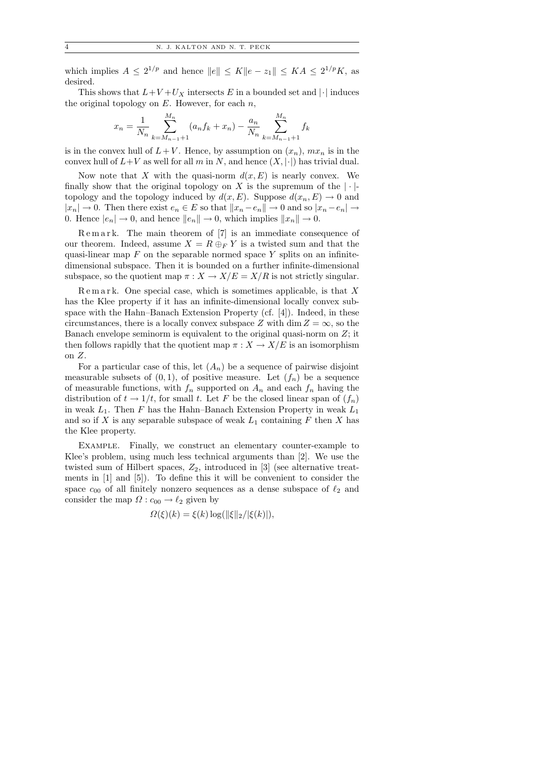which implies  $A \leq 2^{1/p}$  and hence  $||e|| \leq K||e - z_1|| \leq KA \leq 2^{1/p}K$ , as desired.

This shows that  $L+V+U_X$  intersects E in a bounded set and  $|\cdot|$  induces the original topology on  $E$ . However, for each  $n$ ,

$$
x_n = \frac{1}{N_n} \sum_{k=M_{n-1}+1}^{M_n} (a_n f_k + x_n) - \frac{a_n}{N_n} \sum_{k=M_{n-1}+1}^{M_n} f_k
$$

is in the convex hull of  $L + V$ . Hence, by assumption on  $(x_n)$ ,  $mx_n$  is in the convex hull of  $L+V$  as well for all m in N, and hence  $(X, |\cdot|)$  has trivial dual.

Now note that X with the quasi-norm  $d(x, E)$  is nearly convex. We finally show that the original topology on X is the supremum of the  $|\cdot|$ topology and the topology induced by  $d(x, E)$ . Suppose  $d(x_n, E) \to 0$  and  $|x_n| \to 0$ . Then there exist  $e_n \in E$  so that  $||x_n - e_n|| \to 0$  and so  $|x_n - e_n| \to$ 0. Hence  $|e_n| \to 0$ , and hence  $||e_n|| \to 0$ , which implies  $||x_n|| \to 0$ .

 $R$ e m a r k. The main theorem of  $[7]$  is an immediate consequence of our theorem. Indeed, assume  $X = R \oplus_F Y$  is a twisted sum and that the quasi-linear map  $F$  on the separable normed space  $Y$  splits on an infinitedimensional subspace. Then it is bounded on a further infinite-dimensional subspace, so the quotient map  $\pi : X \to X/E = X/R$  is not strictly singular.

 $R$ e m a r k. One special case, which is sometimes applicable, is that X has the Klee property if it has an infinite-dimensional locally convex subspace with the Hahn–Banach Extension Property  $(cf. [4])$ . Indeed, in these circumstances, there is a locally convex subspace Z with dim  $Z = \infty$ , so the Banach envelope seminorm is equivalent to the original quasi-norm on  $Z$ ; it then follows rapidly that the quotient map  $\pi : X \to X/E$  is an isomorphism on Z.

For a particular case of this, let  $(A_n)$  be a sequence of pairwise disjoint measurable subsets of  $(0, 1)$ , of positive measure. Let  $(f_n)$  be a sequence of measurable functions, with  $f_n$  supported on  $A_n$  and each  $f_n$  having the distribution of  $t \to 1/t$ , for small t. Let F be the closed linear span of  $(f_n)$ in weak  $L_1$ . Then F has the Hahn–Banach Extension Property in weak  $L_1$ and so if X is any separable subspace of weak  $L_1$  containing F then X has the Klee property.

Example. Finally, we construct an elementary counter-example to Klee's problem, using much less technical arguments than [2]. We use the twisted sum of Hilbert spaces,  $Z_2$ , introduced in [3] (see alternative treatments in [1] and [5]). To define this it will be convenient to consider the space  $c_{00}$  of all finitely nonzero sequences as a dense subspace of  $\ell_2$  and consider the map  $\Omega: c_{00} \to \ell_2$  given by

$$
\Omega(\xi)(k) = \xi(k) \log(||\xi||_2/|\xi(k)|),
$$